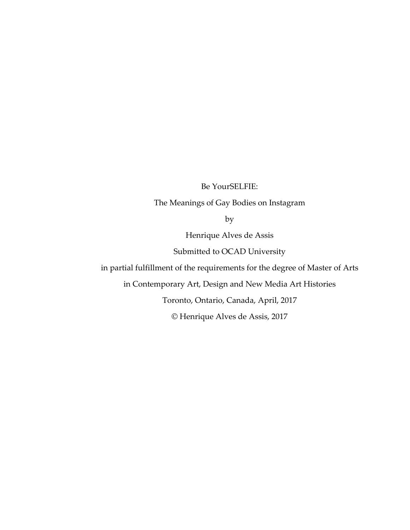Be YourSELFIE:

The Meanings of Gay Bodies on Instagram

by

Henrique Alves de Assis

Submitted to OCAD University

in partial fulfillment of the requirements for the degree of Master of Arts

in Contemporary Art, Design and New Media Art Histories

Toronto, Ontario, Canada, April, 2017

© Henrique Alves de Assis, 2017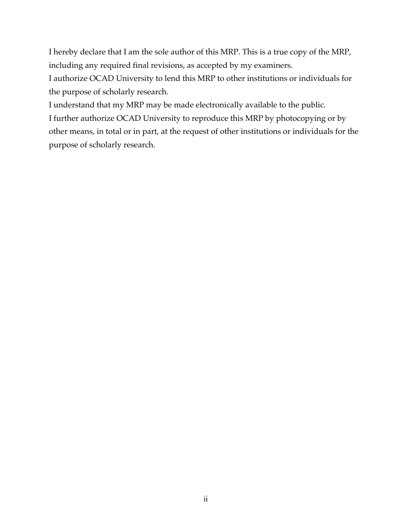I hereby declare that I am the sole author of this MRP. This is a true copy of the MRP, including any required final revisions, as accepted by my examiners.

I authorize OCAD University to lend this MRP to other institutions or individuals for the purpose of scholarly research.

I understand that my MRP may be made electronically available to the public.

I further authorize OCAD University to reproduce this MRP by photocopying or by other means, in total or in part, at the request of other institutions or individuals for the purpose of scholarly research.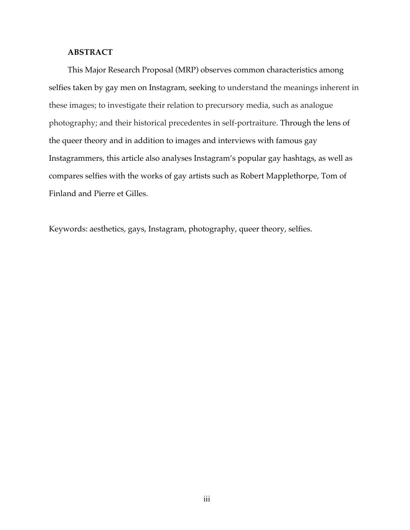# **ABSTRACT**

This Major Research Proposal (MRP) observes common characteristics among selfies taken by gay men on Instagram, seeking to understand the meanings inherent in these images; to investigate their relation to precursory media, such as analogue photography; and their historical precedentes in self-portraiture. Through the lens of the queer theory and in addition to images and interviews with famous gay Instagrammers, this article also analyses Instagram's popular gay hashtags, as well as compares selfies with the works of gay artists such as Robert Mapplethorpe, Tom of Finland and Pierre et Gilles.

Keywords: aesthetics, gays, Instagram, photography, queer theory, selfies.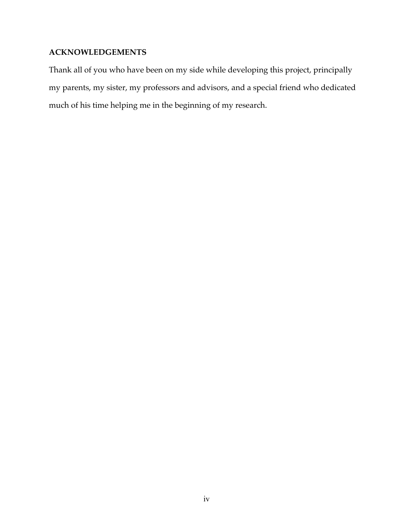# **ACKNOWLEDGEMENTS**

Thank all of you who have been on my side while developing this project, principally my parents, my sister, my professors and advisors, and a special friend who dedicated much of his time helping me in the beginning of my research.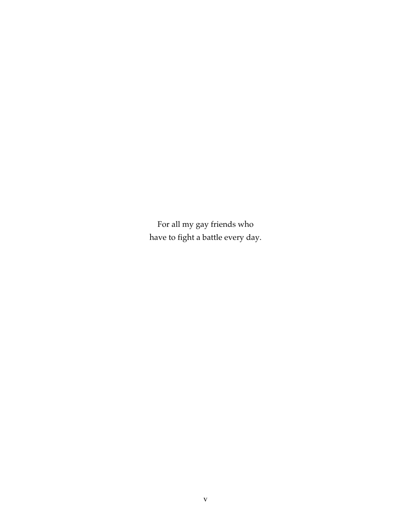For all my gay friends who have to fight a battle every day.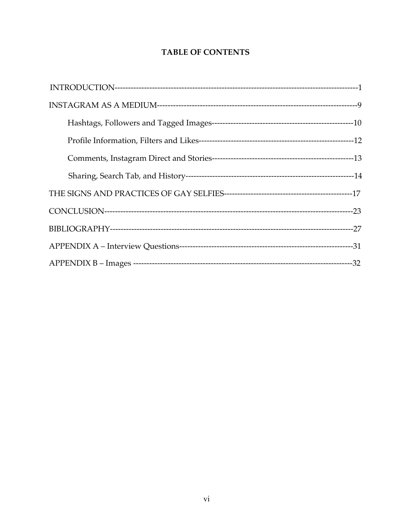# **TABLE OF CONTENTS**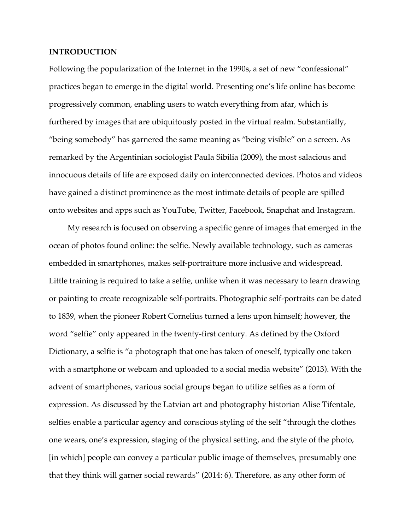## **INTRODUCTION**

Following the popularization of the Internet in the 1990s, a set of new "confessional" practices began to emerge in the digital world. Presenting one's life online has become progressively common, enabling users to watch everything from afar, which is furthered by images that are ubiquitously posted in the virtual realm. Substantially, "being somebody" has garnered the same meaning as "being visible" on a screen. As remarked by the Argentinian sociologist Paula Sibilia (2009), the most salacious and innocuous details of life are exposed daily on interconnected devices. Photos and videos have gained a distinct prominence as the most intimate details of people are spilled onto websites and apps such as YouTube, Twitter, Facebook, Snapchat and Instagram.

My research is focused on observing a specific genre of images that emerged in the ocean of photos found online: the selfie. Newly available technology, such as cameras embedded in smartphones, makes self-portraiture more inclusive and widespread. Little training is required to take a selfie, unlike when it was necessary to learn drawing or painting to create recognizable self-portraits. Photographic self-portraits can be dated to 1839, when the pioneer Robert Cornelius turned a lens upon himself; however, the word "selfie" only appeared in the twenty-first century. As defined by the Oxford Dictionary, a selfie is "a photograph that one has taken of oneself, typically one taken with a smartphone or webcam and uploaded to a social media website" (2013). With the advent of smartphones, various social groups began to utilize selfies as a form of expression. As discussed by the Latvian art and photography historian Alise Tifentale, selfies enable a particular agency and conscious styling of the self "through the clothes one wears, one's expression, staging of the physical setting, and the style of the photo, [in which] people can convey a particular public image of themselves, presumably one that they think will garner social rewards" (2014: 6). Therefore, as any other form of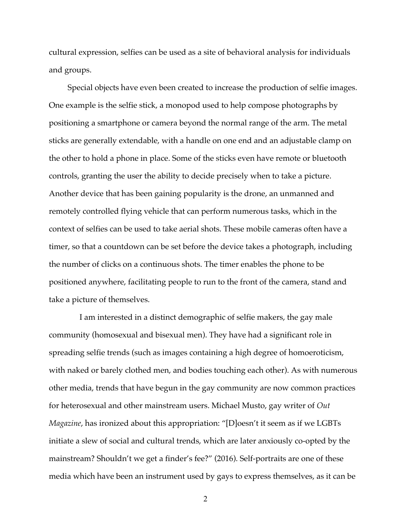cultural expression, selfies can be used as a site of behavioral analysis for individuals and groups.

Special objects have even been created to increase the production of selfie images. One example is the selfie stick, a monopod used to help compose photographs by positioning a smartphone or camera beyond the normal range of the arm. The metal sticks are generally extendable, with a handle on one end and an adjustable clamp on the other to hold a phone in place. Some of the sticks even have remote or bluetooth controls, granting the user the ability to decide precisely when to take a picture. Another device that has been gaining popularity is the drone, an unmanned and remotely controlled flying vehicle that can perform numerous tasks, which in the context of selfies can be used to take aerial shots. These mobile cameras often have a timer, so that a countdown can be set before the device takes a photograph, including the number of clicks on a continuous shots. The timer enables the phone to be positioned anywhere, facilitating people to run to the front of the camera, stand and take a picture of themselves.

I am interested in a distinct demographic of selfie makers, the gay male community (homosexual and bisexual men). They have had a significant role in spreading selfie trends (such as images containing a high degree of homoeroticism, with naked or barely clothed men, and bodies touching each other). As with numerous other media, trends that have begun in the gay community are now common practices for heterosexual and other mainstream users. Michael Musto, gay writer of *Out Magazine*, has ironized about this appropriation: "[D]oesn't it seem as if we LGBTs initiate a slew of social and cultural trends, which are later anxiously co-opted by the mainstream? Shouldn't we get a finder's fee?" (2016). Self-portraits are one of these media which have been an instrument used by gays to express themselves, as it can be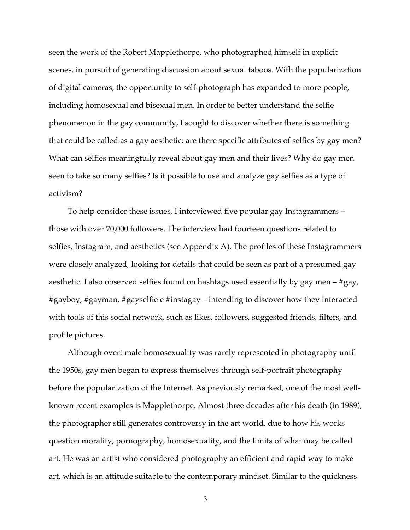seen the work of the Robert Mapplethorpe, who photographed himself in explicit scenes, in pursuit of generating discussion about sexual taboos. With the popularization of digital cameras, the opportunity to self-photograph has expanded to more people, including homosexual and bisexual men. In order to better understand the selfie phenomenon in the gay community, I sought to discover whether there is something that could be called as a gay aesthetic: are there specific attributes of selfies by gay men? What can selfies meaningfully reveal about gay men and their lives? Why do gay men seen to take so many selfies? Is it possible to use and analyze gay selfies as a type of activism?

To help consider these issues, I interviewed five popular gay Instagrammers – those with over 70,000 followers. The interview had fourteen questions related to selfies, Instagram, and aesthetics (see Appendix A). The profiles of these Instagrammers were closely analyzed, looking for details that could be seen as part of a presumed gay aesthetic. I also observed selfies found on hashtags used essentially by gay men – #gay, #gayboy, #gayman, #gayselfie e #instagay – intending to discover how they interacted with tools of this social network, such as likes, followers, suggested friends, filters, and profile pictures.

Although overt male homosexuality was rarely represented in photography until the 1950s, gay men began to express themselves through self-portrait photography before the popularization of the Internet. As previously remarked, one of the most wellknown recent examples is Mapplethorpe. Almost three decades after his death (in 1989), the photographer still generates controversy in the art world, due to how his works question morality, pornography, homosexuality, and the limits of what may be called art. He was an artist who considered photography an efficient and rapid way to make art, which is an attitude suitable to the contemporary mindset. Similar to the quickness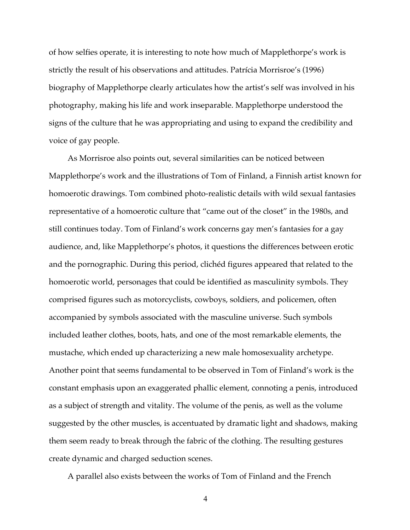of how selfies operate, it is interesting to note how much of Mapplethorpe's work is strictly the result of his observations and attitudes. Patrícia Morrisroe's (1996) biography of Mapplethorpe clearly articulates how the artist's self was involved in his photography, making his life and work inseparable. Mapplethorpe understood the signs of the culture that he was appropriating and using to expand the credibility and voice of gay people.

As Morrisroe also points out, several similarities can be noticed between Mapplethorpe's work and the illustrations of Tom of Finland, a Finnish artist known for homoerotic drawings. Tom combined photo-realistic details with wild sexual fantasies representative of a homoerotic culture that "came out of the closet" in the 1980s, and still continues today. Tom of Finland's work concerns gay men's fantasies for a gay audience, and, like Mapplethorpe's photos, it questions the differences between erotic and the pornographic. During this period, clichéd figures appeared that related to the homoerotic world, personages that could be identified as masculinity symbols. They comprised figures such as motorcyclists, cowboys, soldiers, and policemen, often accompanied by symbols associated with the masculine universe. Such symbols included leather clothes, boots, hats, and one of the most remarkable elements, the mustache, which ended up characterizing a new male homosexuality archetype. Another point that seems fundamental to be observed in Tom of Finland's work is the constant emphasis upon an exaggerated phallic element, connoting a penis, introduced as a subject of strength and vitality. The volume of the penis, as well as the volume suggested by the other muscles, is accentuated by dramatic light and shadows, making them seem ready to break through the fabric of the clothing. The resulting gestures create dynamic and charged seduction scenes.

A parallel also exists between the works of Tom of Finland and the French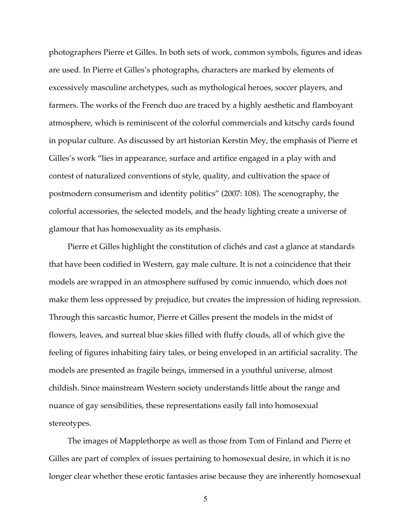photographers Pierre et Gilles. In both sets of work, common symbols, figures and ideas are used. In Pierre et Gilles's photographs, characters are marked by elements of excessively masculine archetypes, such as mythological heroes, soccer players, and farmers. The works of the French duo are traced by a highly aesthetic and flamboyant atmosphere, which is reminiscent of the colorful commercials and kitschy cards found in popular culture. As discussed by art historian Kerstin Mey, the emphasis of Pierre et Gilles's work "lies in appearance, surface and artifice engaged in a play with and contest of naturalized conventions of style, quality, and cultivation the space of postmodern consumerism and identity politics" (2007: 108). The scenography, the colorful accessories, the selected models, and the heady lighting create a universe of glamour that has homosexuality as its emphasis.

Pierre et Gilles highlight the constitution of clichés and cast a glance at standards that have been codified in Western, gay male culture. It is not a coincidence that their models are wrapped in an atmosphere suffused by comic innuendo, which does not make them less oppressed by prejudice, but creates the impression of hiding repression. Through this sarcastic humor, Pierre et Gilles present the models in the midst of flowers, leaves, and surreal blue skies filled with fluffy clouds, all of which give the feeling of figures inhabiting fairy tales, or being enveloped in an artificial sacrality. The models are presented as fragile beings, immersed in a youthful universe, almost childish. Since mainstream Western society understands little about the range and nuance of gay sensibilities, these representations easily fall into homosexual stereotypes.

The images of Mapplethorpe as well as those from Tom of Finland and Pierre et Gilles are part of complex of issues pertaining to homosexual desire, in which it is no longer clear whether these erotic fantasies arise because they are inherently homosexual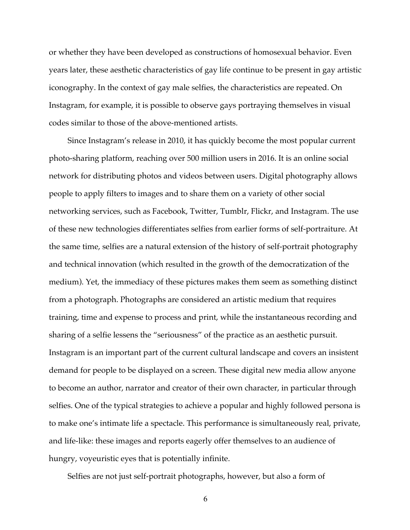or whether they have been developed as constructions of homosexual behavior. Even years later, these aesthetic characteristics of gay life continue to be present in gay artistic iconography. In the context of gay male selfies, the characteristics are repeated. On Instagram, for example, it is possible to observe gays portraying themselves in visual codes similar to those of the above-mentioned artists.

Since Instagram's release in 2010, it has quickly become the most popular current photo-sharing platform, reaching over 500 million users in 2016. It is an online social network for distributing photos and videos between users. Digital photography allows people to apply filters to images and to share them on a variety of other social networking services, such as Facebook, Twitter, Tumblr, Flickr, and Instagram. The use of these new technologies differentiates selfies from earlier forms of self-portraiture. At the same time, selfies are a natural extension of the history of self-portrait photography and technical innovation (which resulted in the growth of the democratization of the medium). Yet, the immediacy of these pictures makes them seem as something distinct from a photograph. Photographs are considered an artistic medium that requires training, time and expense to process and print, while the instantaneous recording and sharing of a selfie lessens the "seriousness" of the practice as an aesthetic pursuit. Instagram is an important part of the current cultural landscape and covers an insistent demand for people to be displayed on a screen. These digital new media allow anyone to become an author, narrator and creator of their own character, in particular through selfies. One of the typical strategies to achieve a popular and highly followed persona is to make one's intimate life a spectacle. This performance is simultaneously real, private, and life-like: these images and reports eagerly offer themselves to an audience of hungry, voyeuristic eyes that is potentially infinite.

Selfies are not just self-portrait photographs, however, but also a form of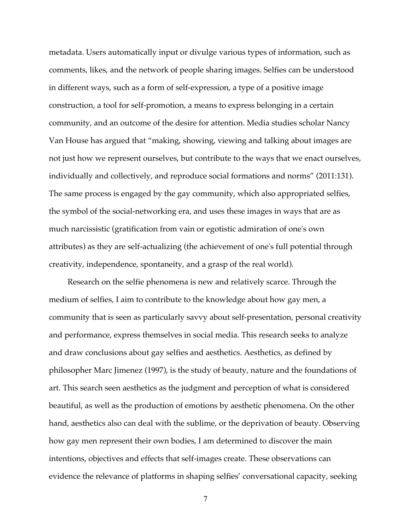metadata. Users automatically input or divulge various types of information, such as comments, likes, and the network of people sharing images. Selfies can be understood in different ways, such as a form of self-expression, a type of a positive image construction, a tool for self-promotion, a means to express belonging in a certain community, and an outcome of the desire for attention. Media studies scholar Nancy Van House has argued that "making, showing, viewing and talking about images are not just how we represent ourselves, but contribute to the ways that we enact ourselves, individually and collectively, and reproduce social formations and norms" (2011:131). The same process is engaged by the gay community, which also appropriated selfies, the symbol of the social-networking era, and uses these images in ways that are as much narcissistic (gratification from vain or egotistic admiration of one's own attributes) as they are self-actualizing (the achievement of one's full potential through creativity, independence, spontaneity, and a grasp of the real world).

Research on the selfie phenomena is new and relatively scarce. Through the medium of selfies, I aim to contribute to the knowledge about how gay men, a community that is seen as particularly savvy about self-presentation, personal creativity and performance, express themselves in social media. This research seeks to analyze and draw conclusions about gay selfies and aesthetics. Aesthetics, as defined by philosopher Marc Jimenez (1997), is the study of beauty, nature and the foundations of art. This search seen aesthetics as the judgment and perception of what is considered beautiful, as well as the production of emotions by aesthetic phenomena. On the other hand, aesthetics also can deal with the sublime, or the deprivation of beauty. Observing how gay men represent their own bodies, I am determined to discover the main intentions, objectives and effects that self-images create. These observations can evidence the relevance of platforms in shaping selfies' conversational capacity, seeking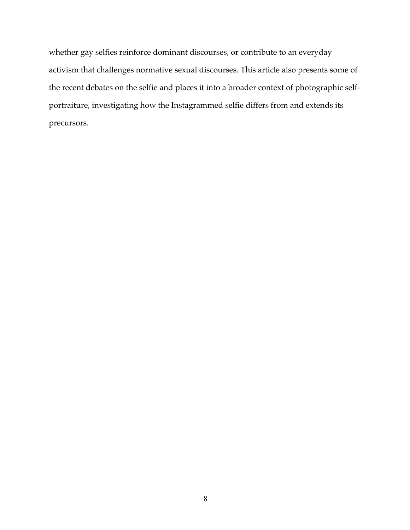whether gay selfies reinforce dominant discourses, or contribute to an everyday activism that challenges normative sexual discourses. This article also presents some of the recent debates on the selfie and places it into a broader context of photographic selfportraiture, investigating how the Instagrammed selfie differs from and extends its precursors.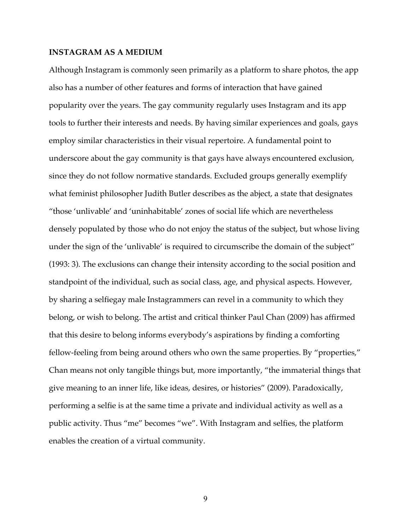### **INSTAGRAM AS A MEDIUM**

Although Instagram is commonly seen primarily as a platform to share photos, the app also has a number of other features and forms of interaction that have gained popularity over the years. The gay community regularly uses Instagram and its app tools to further their interests and needs. By having similar experiences and goals, gays employ similar characteristics in their visual repertoire. A fundamental point to underscore about the gay community is that gays have always encountered exclusion, since they do not follow normative standards. Excluded groups generally exemplify what feminist philosopher Judith Butler describes as the abject, a state that designates "those 'unlivable' and 'uninhabitable' zones of social life which are nevertheless densely populated by those who do not enjoy the status of the subject, but whose living under the sign of the 'unlivable' is required to circumscribe the domain of the subject" (1993: 3). The exclusions can change their intensity according to the social position and standpoint of the individual, such as social class, age, and physical aspects. However, by sharing a selfiegay male Instagrammers can revel in a community to which they belong, or wish to belong. The artist and critical thinker Paul Chan (2009) has affirmed that this desire to belong informs everybody's aspirations by finding a comforting fellow-feeling from being around others who own the same properties. By "properties," Chan means not only tangible things but, more importantly, "the immaterial things that give meaning to an inner life, like ideas, desires, or histories" (2009). Paradoxically, performing a selfie is at the same time a private and individual activity as well as a public activity. Thus "me" becomes "we". With Instagram and selfies, the platform enables the creation of a virtual community.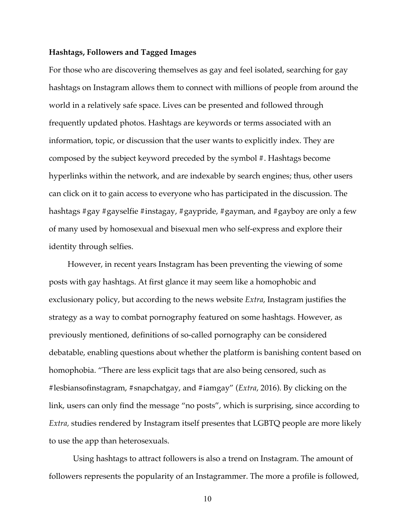## **Hashtags, Followers and Tagged Images**

For those who are discovering themselves as gay and feel isolated, searching for gay hashtags on Instagram allows them to connect with millions of people from around the world in a relatively safe space. Lives can be presented and followed through frequently updated photos. Hashtags are keywords or terms associated with an information, topic, or discussion that the user wants to explicitly index. They are composed by the subject keyword preceded by the symbol #. Hashtags become hyperlinks within the network, and are indexable by search engines; thus, other users can click on it to gain access to everyone who has participated in the discussion. The hashtags #gay #gayselfie #instagay, #gaypride, #gayman, and #gayboy are only a few of many used by homosexual and bisexual men who self-express and explore their identity through selfies.

However, in recent years Instagram has been preventing the viewing of some posts with gay hashtags. At first glance it may seem like a homophobic and exclusionary policy, but according to the news website *Extra*, Instagram justifies the strategy as a way to combat pornography featured on some hashtags. However, as previously mentioned, definitions of so-called pornography can be considered debatable, enabling questions about whether the platform is banishing content based on homophobia. "There are less explicit tags that are also being censored, such as #lesbiansofinstagram, #snapchatgay, and #iamgay" (*Extra*, 2016). By clicking on the link, users can only find the message "no posts", which is surprising, since according to *Extra,* studies rendered by Instagram itself presentes that LGBTQ people are more likely to use the app than heterosexuals.

Using hashtags to attract followers is also a trend on Instagram. The amount of followers represents the popularity of an Instagrammer. The more a profile is followed,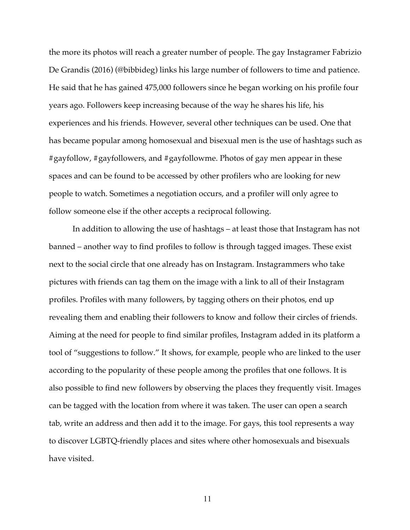the more its photos will reach a greater number of people. The gay Instagramer Fabrizio De Grandis (2016) (@bibbideg) links his large number of followers to time and patience. He said that he has gained 475,000 followers since he began working on his profile four years ago. Followers keep increasing because of the way he shares his life, his experiences and his friends. However, several other techniques can be used. One that has became popular among homosexual and bisexual men is the use of hashtags such as #gayfollow, #gayfollowers, and #gayfollowme. Photos of gay men appear in these spaces and can be found to be accessed by other profilers who are looking for new people to watch. Sometimes a negotiation occurs, and a profiler will only agree to follow someone else if the other accepts a reciprocal following.

In addition to allowing the use of hashtags – at least those that Instagram has not banned – another way to find profiles to follow is through tagged images. These exist next to the social circle that one already has on Instagram. Instagrammers who take pictures with friends can tag them on the image with a link to all of their Instagram profiles. Profiles with many followers, by tagging others on their photos, end up revealing them and enabling their followers to know and follow their circles of friends. Aiming at the need for people to find similar profiles, Instagram added in its platform a tool of "suggestions to follow." It shows, for example, people who are linked to the user according to the popularity of these people among the profiles that one follows. It is also possible to find new followers by observing the places they frequently visit. Images can be tagged with the location from where it was taken. The user can open a search tab, write an address and then add it to the image. For gays, this tool represents a way to discover LGBTQ-friendly places and sites where other homosexuals and bisexuals have visited.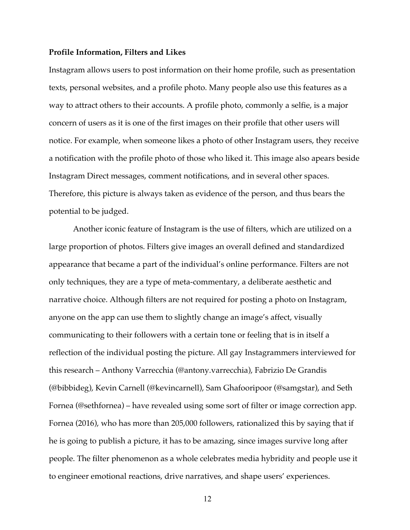#### **Profile Information, Filters and Likes**

Instagram allows users to post information on their home profile, such as presentation texts, personal websites, and a profile photo. Many people also use this features as a way to attract others to their accounts. A profile photo, commonly a selfie, is a major concern of users as it is one of the first images on their profile that other users will notice. For example, when someone likes a photo of other Instagram users, they receive a notification with the profile photo of those who liked it. This image also apears beside Instagram Direct messages, comment notifications, and in several other spaces. Therefore, this picture is always taken as evidence of the person, and thus bears the potential to be judged.

Another iconic feature of Instagram is the use of filters, which are utilized on a large proportion of photos. Filters give images an overall defined and standardized appearance that became a part of the individual's online performance. Filters are not only techniques, they are a type of meta-commentary, a deliberate aesthetic and narrative choice. Although filters are not required for posting a photo on Instagram, anyone on the app can use them to slightly change an image's affect, visually communicating to their followers with a certain tone or feeling that is in itself a reflection of the individual posting the picture. All gay Instagrammers interviewed for this research – Anthony Varrecchia (@antony.varrecchia), Fabrizio De Grandis (@bibbideg), Kevin Carnell (@kevincarnell), Sam Ghafooripoor (@samgstar), and Seth Fornea (@sethfornea) – have revealed using some sort of filter or image correction app. Fornea (2016), who has more than 205,000 followers, rationalized this by saying that if he is going to publish a picture, it has to be amazing, since images survive long after people. The filter phenomenon as a whole celebrates media hybridity and people use it to engineer emotional reactions, drive narratives, and shape users' experiences.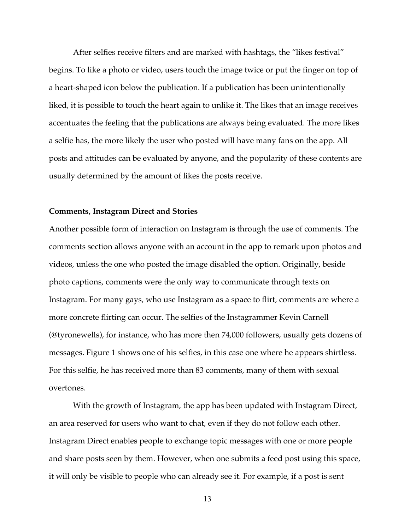After selfies receive filters and are marked with hashtags, the "likes festival" begins. To like a photo or video, users touch the image twice or put the finger on top of a heart-shaped icon below the publication. If a publication has been unintentionally liked, it is possible to touch the heart again to unlike it. The likes that an image receives accentuates the feeling that the publications are always being evaluated. The more likes a selfie has, the more likely the user who posted will have many fans on the app. All posts and attitudes can be evaluated by anyone, and the popularity of these contents are usually determined by the amount of likes the posts receive.

#### **Comments, Instagram Direct and Stories**

Another possible form of interaction on Instagram is through the use of comments. The comments section allows anyone with an account in the app to remark upon photos and videos, unless the one who posted the image disabled the option. Originally, beside photo captions, comments were the only way to communicate through texts on Instagram. For many gays, who use Instagram as a space to flirt, comments are where a more concrete flirting can occur. The selfies of the Instagrammer Kevin Carnell (@tyronewells), for instance, who has more then 74,000 followers, usually gets dozens of messages. Figure 1 shows one of his selfies, in this case one where he appears shirtless. For this selfie, he has received more than 83 comments, many of them with sexual overtones.

With the growth of Instagram, the app has been updated with Instagram Direct, an area reserved for users who want to chat, even if they do not follow each other. Instagram Direct enables people to exchange topic messages with one or more people and share posts seen by them. However, when one submits a feed post using this space, it will only be visible to people who can already see it. For example, if a post is sent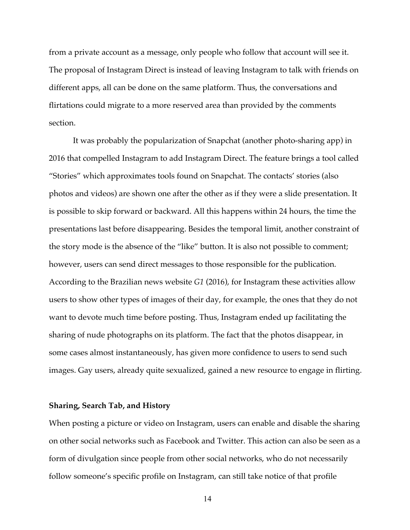from a private account as a message, only people who follow that account will see it. The proposal of Instagram Direct is instead of leaving Instagram to talk with friends on different apps, all can be done on the same platform. Thus, the conversations and flirtations could migrate to a more reserved area than provided by the comments section.

It was probably the popularization of Snapchat (another photo-sharing app) in 2016 that compelled Instagram to add Instagram Direct. The feature brings a tool called "Stories" which approximates tools found on Snapchat. The contacts' stories (also photos and videos) are shown one after the other as if they were a slide presentation. It is possible to skip forward or backward. All this happens within 24 hours, the time the presentations last before disappearing. Besides the temporal limit, another constraint of the story mode is the absence of the "like" button. It is also not possible to comment; however, users can send direct messages to those responsible for the publication. According to the Brazilian news website *G1* (2016), for Instagram these activities allow users to show other types of images of their day, for example, the ones that they do not want to devote much time before posting. Thus, Instagram ended up facilitating the sharing of nude photographs on its platform. The fact that the photos disappear, in some cases almost instantaneously, has given more confidence to users to send such images. Gay users, already quite sexualized, gained a new resource to engage in flirting.

## **Sharing, Search Tab, and History**

When posting a picture or video on Instagram, users can enable and disable the sharing on other social networks such as Facebook and Twitter. This action can also be seen as a form of divulgation since people from other social networks, who do not necessarily follow someone's specific profile on Instagram, can still take notice of that profile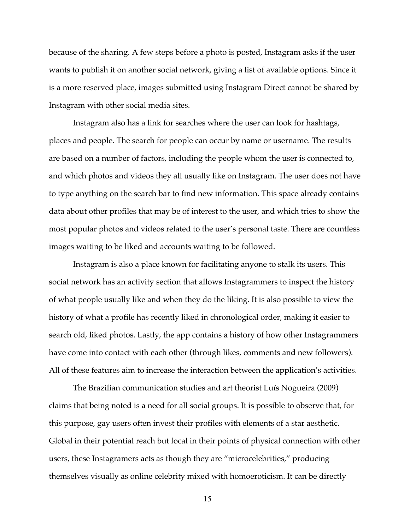because of the sharing. A few steps before a photo is posted, Instagram asks if the user wants to publish it on another social network, giving a list of available options. Since it is a more reserved place, images submitted using Instagram Direct cannot be shared by Instagram with other social media sites.

Instagram also has a link for searches where the user can look for hashtags, places and people. The search for people can occur by name or username. The results are based on a number of factors, including the people whom the user is connected to, and which photos and videos they all usually like on Instagram. The user does not have to type anything on the search bar to find new information. This space already contains data about other profiles that may be of interest to the user, and which tries to show the most popular photos and videos related to the user's personal taste. There are countless images waiting to be liked and accounts waiting to be followed.

Instagram is also a place known for facilitating anyone to stalk its users. This social network has an activity section that allows Instagrammers to inspect the history of what people usually like and when they do the liking. It is also possible to view the history of what a profile has recently liked in chronological order, making it easier to search old, liked photos. Lastly, the app contains a history of how other Instagrammers have come into contact with each other (through likes, comments and new followers). All of these features aim to increase the interaction between the application's activities.

The Brazilian communication studies and art theorist Luís Nogueira (2009) claims that being noted is a need for all social groups. It is possible to observe that, for this purpose, gay users often invest their profiles with elements of a star aesthetic. Global in their potential reach but local in their points of physical connection with other users, these Instagramers acts as though they are "microcelebrities," producing themselves visually as online celebrity mixed with homoeroticism. It can be directly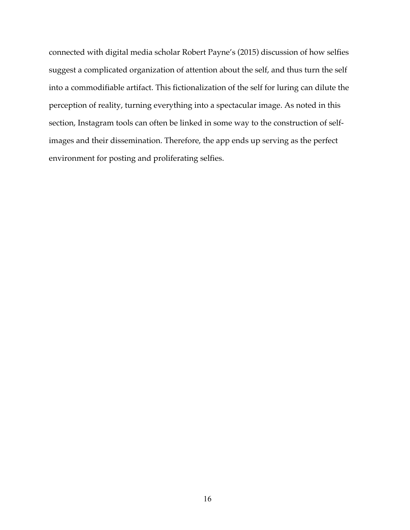connected with digital media scholar Robert Payne's (2015) discussion of how selfies suggest a complicated organization of attention about the self, and thus turn the self into a commodifiable artifact. This fictionalization of the self for luring can dilute the perception of reality, turning everything into a spectacular image. As noted in this section, Instagram tools can often be linked in some way to the construction of selfimages and their dissemination. Therefore, the app ends up serving as the perfect environment for posting and proliferating selfies.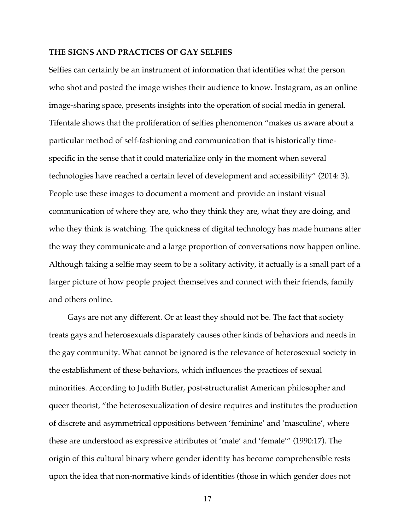## **THE SIGNS AND PRACTICES OF GAY SELFIES**

Selfies can certainly be an instrument of information that identifies what the person who shot and posted the image wishes their audience to know. Instagram, as an online image-sharing space, presents insights into the operation of social media in general. Tifentale shows that the proliferation of selfies phenomenon "makes us aware about a particular method of self-fashioning and communication that is historically timespecific in the sense that it could materialize only in the moment when several technologies have reached a certain level of development and accessibility" (2014: 3). People use these images to document a moment and provide an instant visual communication of where they are, who they think they are, what they are doing, and who they think is watching. The quickness of digital technology has made humans alter the way they communicate and a large proportion of conversations now happen online. Although taking a selfie may seem to be a solitary activity, it actually is a small part of a larger picture of how people project themselves and connect with their friends, family and others online.

Gays are not any different. Or at least they should not be. The fact that society treats gays and heterosexuals disparately causes other kinds of behaviors and needs in the gay community. What cannot be ignored is the relevance of heterosexual society in the establishment of these behaviors, which influences the practices of sexual minorities. According to Judith Butler, post-structuralist American philosopher and queer theorist, "the heterosexualization of desire requires and institutes the production of discrete and asymmetrical oppositions between 'feminine' and 'masculine', where these are understood as expressive attributes of 'male' and 'female'" (1990:17). The origin of this cultural binary where gender identity has become comprehensible rests upon the idea that non-normative kinds of identities (those in which gender does not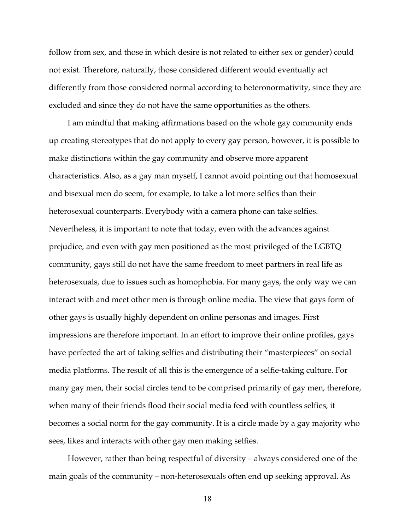follow from sex, and those in which desire is not related to either sex or gender) could not exist. Therefore, naturally, those considered different would eventually act differently from those considered normal according to heteronormativity, since they are excluded and since they do not have the same opportunities as the others.

I am mindful that making affirmations based on the whole gay community ends up creating stereotypes that do not apply to every gay person, however, it is possible to make distinctions within the gay community and observe more apparent characteristics. Also, as a gay man myself, I cannot avoid pointing out that homosexual and bisexual men do seem, for example, to take a lot more selfies than their heterosexual counterparts. Everybody with a camera phone can take selfies. Nevertheless, it is important to note that today, even with the advances against prejudice, and even with gay men positioned as the most privileged of the LGBTQ community, gays still do not have the same freedom to meet partners in real life as heterosexuals, due to issues such as homophobia. For many gays, the only way we can interact with and meet other men is through online media. The view that gays form of other gays is usually highly dependent on online personas and images. First impressions are therefore important. In an effort to improve their online profiles, gays have perfected the art of taking selfies and distributing their "masterpieces" on social media platforms. The result of all this is the emergence of a selfie-taking culture. For many gay men, their social circles tend to be comprised primarily of gay men, therefore, when many of their friends flood their social media feed with countless selfies, it becomes a social norm for the gay community. It is a circle made by a gay majority who sees, likes and interacts with other gay men making selfies.

However, rather than being respectful of diversity – always considered one of the main goals of the community – non-heterosexuals often end up seeking approval. As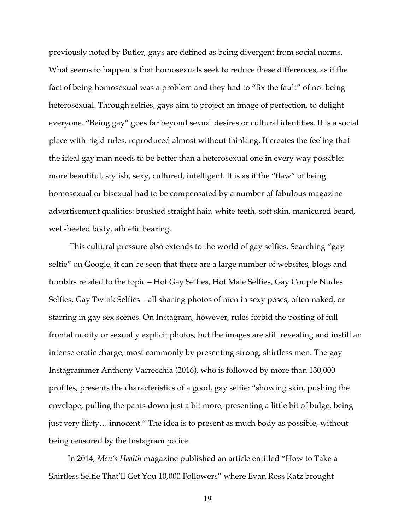previously noted by Butler, gays are defined as being divergent from social norms. What seems to happen is that homosexuals seek to reduce these differences, as if the fact of being homosexual was a problem and they had to "fix the fault" of not being heterosexual. Through selfies, gays aim to project an image of perfection, to delight everyone. "Being gay" goes far beyond sexual desires or cultural identities. It is a social place with rigid rules, reproduced almost without thinking. It creates the feeling that the ideal gay man needs to be better than a heterosexual one in every way possible: more beautiful, stylish, sexy, cultured, intelligent. It is as if the "flaw" of being homosexual or bisexual had to be compensated by a number of fabulous magazine advertisement qualities: brushed straight hair, white teeth, soft skin, manicured beard, well-heeled body, athletic bearing.

This cultural pressure also extends to the world of gay selfies. Searching "gay selfie" on Google, it can be seen that there are a large number of websites, blogs and tumblrs related to the topic – Hot Gay Selfies, Hot Male Selfies, Gay Couple Nudes Selfies, Gay Twink Selfies – all sharing photos of men in sexy poses, often naked, or starring in gay sex scenes. On Instagram, however, rules forbid the posting of full frontal nudity or sexually explicit photos, but the images are still revealing and instill an intense erotic charge, most commonly by presenting strong, shirtless men. The gay Instagrammer Anthony Varrecchia (2016), who is followed by more than 130,000 profiles, presents the characteristics of a good, gay selfie: "showing skin, pushing the envelope, pulling the pants down just a bit more, presenting a little bit of bulge, being just very flirty… innocent." The idea is to present as much body as possible, without being censored by the Instagram police.

In 2014, *Men's Health* magazine published an article entitled "How to Take a Shirtless Selfie That'll Get You 10,000 Followers" where Evan Ross Katz brought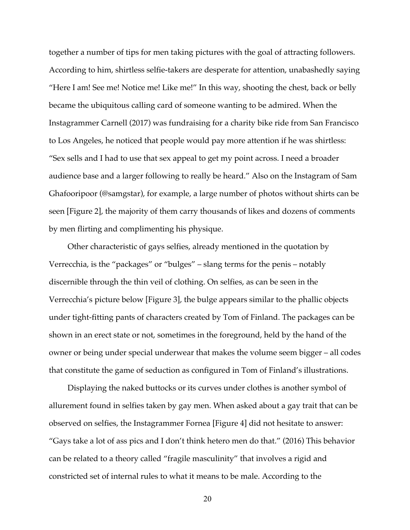together a number of tips for men taking pictures with the goal of attracting followers. According to him, shirtless selfie-takers are desperate for attention, unabashedly saying "Here I am! See me! Notice me! Like me!" In this way, shooting the chest, back or belly became the ubiquitous calling card of someone wanting to be admired. When the Instagrammer Carnell (2017) was fundraising for a charity bike ride from San Francisco to Los Angeles, he noticed that people would pay more attention if he was shirtless: "Sex sells and I had to use that sex appeal to get my point across. I need a broader audience base and a larger following to really be heard." Also on the Instagram of Sam Ghafooripoor (@samgstar), for example, a large number of photos without shirts can be seen [Figure 2], the majority of them carry thousands of likes and dozens of comments by men flirting and complimenting his physique.

Other characteristic of gays selfies, already mentioned in the quotation by Verrecchia, is the "packages" or "bulges" – slang terms for the penis – notably discernible through the thin veil of clothing. On selfies, as can be seen in the Verrecchia's picture below [Figure 3], the bulge appears similar to the phallic objects under tight-fitting pants of characters created by Tom of Finland. The packages can be shown in an erect state or not, sometimes in the foreground, held by the hand of the owner or being under special underwear that makes the volume seem bigger – all codes that constitute the game of seduction as configured in Tom of Finland's illustrations.

Displaying the naked buttocks or its curves under clothes is another symbol of allurement found in selfies taken by gay men. When asked about a gay trait that can be observed on selfies, the Instagrammer Fornea [Figure 4] did not hesitate to answer: "Gays take a lot of ass pics and I don't think hetero men do that." (2016) This behavior can be related to a theory called "fragile masculinity" that involves a rigid and constricted set of internal rules to what it means to be male. According to the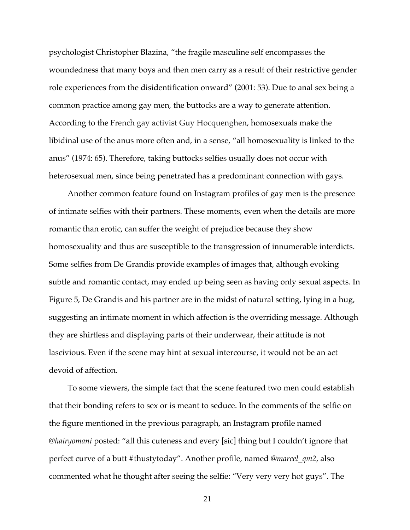psychologist Christopher Blazina, "the fragile masculine self encompasses the woundedness that many boys and then men carry as a result of their restrictive gender role experiences from the disidentification onward" (2001: 53). Due to anal sex being a common practice among gay men, the buttocks are a way to generate attention. According to the French gay activist Guy Hocquenghen, homosexuals make the libidinal use of the anus more often and, in a sense, "all homosexuality is linked to the anus" (1974: 65). Therefore, taking buttocks selfies usually does not occur with heterosexual men, since being penetrated has a predominant connection with gays.

Another common feature found on Instagram profiles of gay men is the presence of intimate selfies with their partners. These moments, even when the details are more romantic than erotic, can suffer the weight of prejudice because they show homosexuality and thus are susceptible to the transgression of innumerable interdicts. Some selfies from De Grandis provide examples of images that, although evoking subtle and romantic contact, may ended up being seen as having only sexual aspects. In Figure 5, De Grandis and his partner are in the midst of natural setting, lying in a hug, suggesting an intimate moment in which affection is the overriding message. Although they are shirtless and displaying parts of their underwear, their attitude is not lascivious. Even if the scene may hint at sexual intercourse, it would not be an act devoid of affection.

To some viewers, the simple fact that the scene featured two men could establish that their bonding refers to sex or is meant to seduce. In the comments of the selfie on the figure mentioned in the previous paragraph, an Instagram profile named @*hairyomani* posted: "all this cuteness and every [sic] thing but I couldn't ignore that perfect curve of a butt #thustytoday". Another profile, named @*marcel\_qm2*, also commented what he thought after seeing the selfie: "Very very very hot guys". The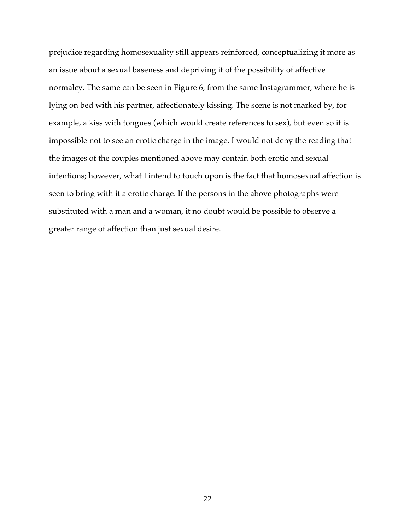prejudice regarding homosexuality still appears reinforced, conceptualizing it more as an issue about a sexual baseness and depriving it of the possibility of affective normalcy. The same can be seen in Figure 6, from the same Instagrammer, where he is lying on bed with his partner, affectionately kissing. The scene is not marked by, for example, a kiss with tongues (which would create references to sex), but even so it is impossible not to see an erotic charge in the image. I would not deny the reading that the images of the couples mentioned above may contain both erotic and sexual intentions; however, what I intend to touch upon is the fact that homosexual affection is seen to bring with it a erotic charge. If the persons in the above photographs were substituted with a man and a woman, it no doubt would be possible to observe a greater range of affection than just sexual desire.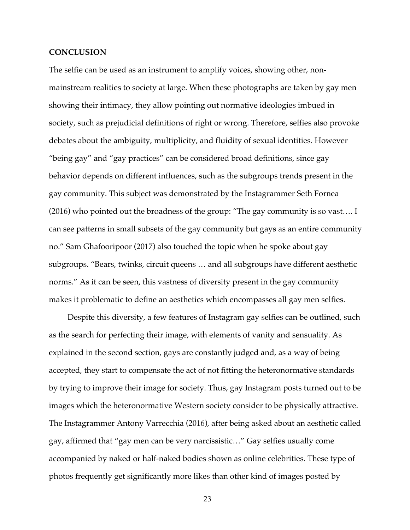#### **CONCLUSION**

The selfie can be used as an instrument to amplify voices, showing other, nonmainstream realities to society at large. When these photographs are taken by gay men showing their intimacy, they allow pointing out normative ideologies imbued in society, such as prejudicial definitions of right or wrong. Therefore, selfies also provoke debates about the ambiguity, multiplicity, and fluidity of sexual identities. However "being gay" and "gay practices" can be considered broad definitions, since gay behavior depends on different influences, such as the subgroups trends present in the gay community. This subject was demonstrated by the Instagrammer Seth Fornea (2016) who pointed out the broadness of the group: "The gay community is so vast…. I can see patterns in small subsets of the gay community but gays as an entire community no." Sam Ghafooripoor (2017) also touched the topic when he spoke about gay subgroups. "Bears, twinks, circuit queens … and all subgroups have different aesthetic norms." As it can be seen, this vastness of diversity present in the gay community makes it problematic to define an aesthetics which encompasses all gay men selfies.

Despite this diversity, a few features of Instagram gay selfies can be outlined, such as the search for perfecting their image, with elements of vanity and sensuality. As explained in the second section, gays are constantly judged and, as a way of being accepted, they start to compensate the act of not fitting the heteronormative standards by trying to improve their image for society. Thus, gay Instagram posts turned out to be images which the heteronormative Western society consider to be physically attractive. The Instagrammer Antony Varrecchia (2016), after being asked about an aesthetic called gay, affirmed that "gay men can be very narcissistic…" Gay selfies usually come accompanied by naked or half-naked bodies shown as online celebrities. These type of photos frequently get significantly more likes than other kind of images posted by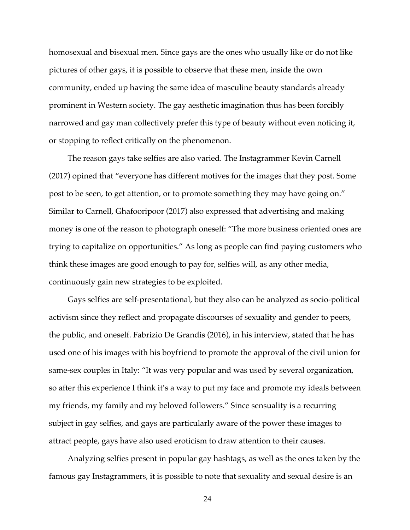homosexual and bisexual men. Since gays are the ones who usually like or do not like pictures of other gays, it is possible to observe that these men, inside the own community, ended up having the same idea of masculine beauty standards already prominent in Western society. The gay aesthetic imagination thus has been forcibly narrowed and gay man collectively prefer this type of beauty without even noticing it, or stopping to reflect critically on the phenomenon.

The reason gays take selfies are also varied. The Instagrammer Kevin Carnell (2017) opined that "everyone has different motives for the images that they post. Some post to be seen, to get attention, or to promote something they may have going on." Similar to Carnell, Ghafooripoor (2017) also expressed that advertising and making money is one of the reason to photograph oneself: "The more business oriented ones are trying to capitalize on opportunities." As long as people can find paying customers who think these images are good enough to pay for, selfies will, as any other media, continuously gain new strategies to be exploited.

Gays selfies are self-presentational, but they also can be analyzed as socio-political activism since they reflect and propagate discourses of sexuality and gender to peers, the public, and oneself. Fabrizio De Grandis (2016), in his interview, stated that he has used one of his images with his boyfriend to promote the approval of the civil union for same-sex couples in Italy: "It was very popular and was used by several organization, so after this experience I think it's a way to put my face and promote my ideals between my friends, my family and my beloved followers." Since sensuality is a recurring subject in gay selfies, and gays are particularly aware of the power these images to attract people, gays have also used eroticism to draw attention to their causes.

Analyzing selfies present in popular gay hashtags, as well as the ones taken by the famous gay Instagrammers, it is possible to note that sexuality and sexual desire is an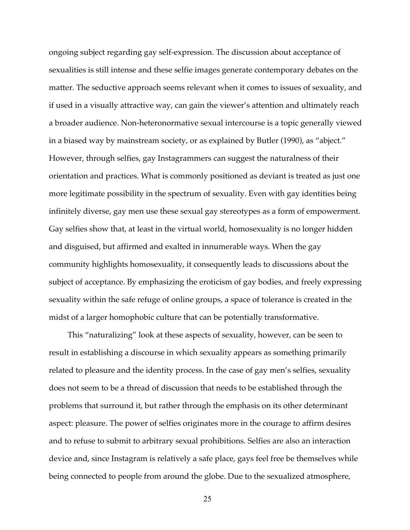ongoing subject regarding gay self-expression. The discussion about acceptance of sexualities is still intense and these selfie images generate contemporary debates on the matter. The seductive approach seems relevant when it comes to issues of sexuality, and if used in a visually attractive way, can gain the viewer's attention and ultimately reach a broader audience. Non-heteronormative sexual intercourse is a topic generally viewed in a biased way by mainstream society, or as explained by Butler (1990), as "abject." However, through selfies, gay Instagrammers can suggest the naturalness of their orientation and practices. What is commonly positioned as deviant is treated as just one more legitimate possibility in the spectrum of sexuality. Even with gay identities being infinitely diverse, gay men use these sexual gay stereotypes as a form of empowerment. Gay selfies show that, at least in the virtual world, homosexuality is no longer hidden and disguised, but affirmed and exalted in innumerable ways. When the gay community highlights homosexuality, it consequently leads to discussions about the subject of acceptance. By emphasizing the eroticism of gay bodies, and freely expressing sexuality within the safe refuge of online groups, a space of tolerance is created in the midst of a larger homophobic culture that can be potentially transformative.

This "naturalizing" look at these aspects of sexuality, however, can be seen to result in establishing a discourse in which sexuality appears as something primarily related to pleasure and the identity process. In the case of gay men's selfies, sexuality does not seem to be a thread of discussion that needs to be established through the problems that surround it, but rather through the emphasis on its other determinant aspect: pleasure. The power of selfies originates more in the courage to affirm desires and to refuse to submit to arbitrary sexual prohibitions. Selfies are also an interaction device and, since Instagram is relatively a safe place, gays feel free be themselves while being connected to people from around the globe. Due to the sexualized atmosphere,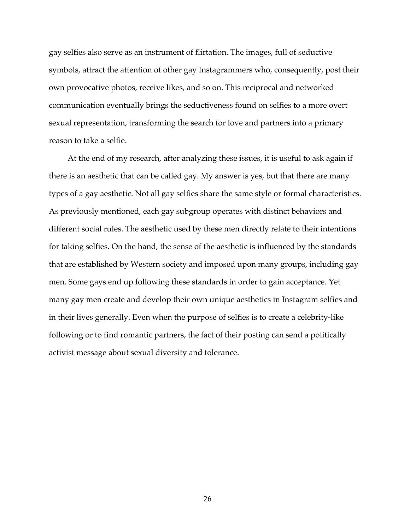gay selfies also serve as an instrument of flirtation. The images, full of seductive symbols, attract the attention of other gay Instagrammers who, consequently, post their own provocative photos, receive likes, and so on. This reciprocal and networked communication eventually brings the seductiveness found on selfies to a more overt sexual representation, transforming the search for love and partners into a primary reason to take a selfie.

At the end of my research, after analyzing these issues, it is useful to ask again if there is an aesthetic that can be called gay. My answer is yes, but that there are many types of a gay aesthetic. Not all gay selfies share the same style or formal characteristics. As previously mentioned, each gay subgroup operates with distinct behaviors and different social rules. The aesthetic used by these men directly relate to their intentions for taking selfies. On the hand, the sense of the aesthetic is influenced by the standards that are established by Western society and imposed upon many groups, including gay men. Some gays end up following these standards in order to gain acceptance. Yet many gay men create and develop their own unique aesthetics in Instagram selfies and in their lives generally. Even when the purpose of selfies is to create a celebrity-like following or to find romantic partners, the fact of their posting can send a politically activist message about sexual diversity and tolerance.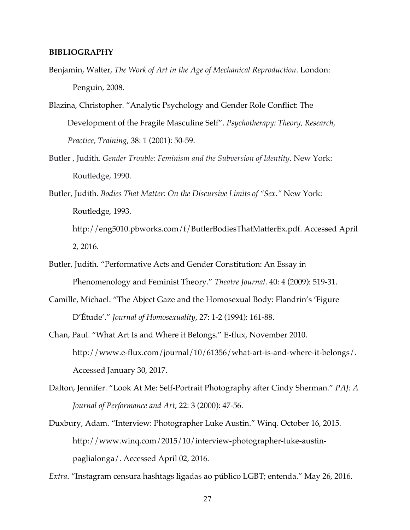### **BIBLIOGRAPHY**

- Benjamin, Walter, *The Work of Art in the Age of Mechanical Reproduction*. London: Penguin, 2008.
- Blazina, Christopher. "Analytic Psychology and Gender Role Conflict: The Development of the Fragile Masculine Self". *Psychotherapy: Theory, Research, Practice, Training*, 38: 1 (2001): 50-59.
- Butler , Judith. *Gender Trouble: Feminism and the Subversion of Identity*. New York: Routledge, 1990.
- Butler, Judith. *Bodies That Matter: On the Discursive Limits of "Sex."* New York: Routledge, 1993. http://eng5010.pbworks.com/f/ButlerBodiesThatMatterEx.pdf. Accessed April 2, 2016.
- Butler, Judith. "Performative Acts and Gender Constitution: An Essay in Phenomenology and Feminist Theory." *Theatre Journal*. 40: 4 (2009): 519-31.
- Camille, Michael. "The Abject Gaze and the Homosexual Body: Flandrin's 'Figure D'Étude'." *Journal of Homosexuality*, 27: 1-2 (1994): 161-88.
- Chan, Paul. "What Art Is and Where it Belongs." E-flux, November 2010. http://www.e-flux.com/journal/10/61356/what-art-is-and-where-it-belongs/. Accessed January 30, 2017.
- Dalton, Jennifer. "Look At Me: Self-Portrait Photography after Cindy Sherman." *PAJ: A Journal of Performance and Art*, 22: 3 (2000): 47-56.
- Duxbury, Adam. "Interview: Photographer Luke Austin." Winq. October 16, 2015. http://www.winq.com/2015/10/interview-photographer-luke-austinpaglialonga/. Accessed April 02, 2016.
- *Extra*. "Instagram censura hashtags ligadas ao público LGBT; entenda." May 26, 2016.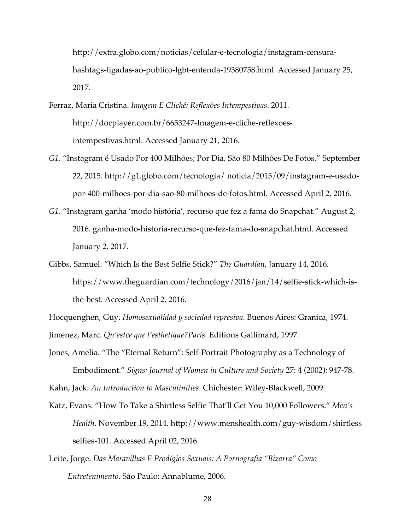http://extra.globo.com/noticias/celular-e-tecnologia/instagram-censurahashtags-ligadas-ao-publico-lgbt-entenda-19380758.html. Accessed January 25, 2017.

- Ferraz, Maria Cristina. *Imagem E Clichê: Reflexões Intempestivas*. 2011. http://docplayer.com.br/6653247-Imagem-e-cliche-reflexoesintempestivas.html. Accessed January 21, 2016.
- *G1*. "Instagram é Usado Por 400 Milhões; Por Dia, São 80 Milhões De Fotos." September 22, 2015. http://g1.globo.com/tecnologia/ noticia/2015/09/instagram-e-usadopor-400-milhoes-por-dia-sao-80-milhoes-de-fotos.html. Accessed April 2, 2016.
- *G1*. "Instagram ganha 'modo história', recurso que fez a fama do Snapchat." August 2, 2016. ganha-modo-historia-recurso-que-fez-fama-do-snapchat.html. Accessed January 2, 2017.
- Gibbs, Samuel. "Which Is the Best Selfie Stick?" *The Guardian*, January 14, 2016. https://www.theguardian.com/technology/2016/jan/14/selfie-stick-which-isthe-best. Accessed April 2, 2016.

Hocquenghen, Guy. *Homosexualidad y sociedad represiva*. Buenos Aires: Granica, 1974. Jimenez, Marc. *Qu'estce que l'esthetique?Paris.* Editions Gallimard, 1997.

Jones, Amelia. "The "Eternal Return": Self-Portrait Photography as a Technology of Embodiment." *Signs: Journal of Women in Culture and Society* 27: 4 (2002): 947-78.

Kahn, Jack. *An Introduction to Masculinities*. Chichester: Wiley-Blackwell, 2009.

- Katz, Evans. "How To Take a Shirtless Selfie That'll Get You 10,000 Followers." *Men's Health*. November 19, 2014. http://www.menshealth.com/guy-wisdom/shirtless selfies-101. Accessed April 02, 2016.
- Leite, Jorge. *Das Maravilhas E Prodígios Sexuais: A Pornografia "Bizarra" Como Entretenimento*. São Paulo: Annablume, 2006.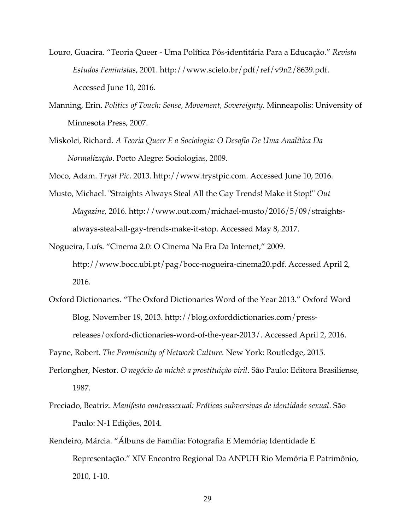- Louro, Guacira. "Teoria Queer Uma Política Pós-identitária Para a Educação." *Revista Estudos Feministas*, 2001. http://www.scielo.br/pdf/ref/v9n2/8639.pdf. Accessed June 10, 2016.
- Manning, Erin. *Politics of Touch: Sense, Movement, Sovereignty*. Minneapolis: University of Minnesota Press, 2007.
- Miskolci, Richard. *A Teoria Queer E a Sociologia: O Desafio De Uma Analítica Da Normalização*. Porto Alegre: Sociologias, 2009.

Moco, Adam. *Tryst Pic*. 2013. http://www.trystpic.com. Accessed June 10, 2016.

- Musto, Michael. "Straights Always Steal All the Gay Trends! Make it Stop!" *Out Magazine*, 2016. http://www.out.com/michael-musto/2016/5/09/straightsalways-steal-all-gay-trends-make-it-stop. Accessed May 8, 2017.
- Nogueira, Luís. "Cinema 2.0: O Cinema Na Era Da Internet," 2009. http://www.bocc.ubi.pt/pag/bocc-nogueira-cinema20.pdf. Accessed April 2, 2016.
- Oxford Dictionaries. "The Oxford Dictionaries Word of the Year 2013." Oxford Word Blog, November 19, 2013. http://blog.oxforddictionaries.com/pressreleases/oxford-dictionaries-word-of-the-year-2013/. Accessed April 2, 2016.

Payne, Robert. *The Promiscuity of Network Culture*. New York: Routledge, 2015.

- Perlongher, Nestor. *O negócio do michê: a prostituição viril*. São Paulo: Editora Brasiliense, 1987.
- Preciado, Beatriz. *Manifesto contrassexual: Práticas subversivas de identidade sexual*. São Paulo: N-1 Edições, 2014.
- Rendeiro, Márcia. "Álbuns de Família: Fotografia E Memória; Identidade E Representação." XIV Encontro Regional Da ANPUH Rio Memória E Patrimônio, 2010, 1-10.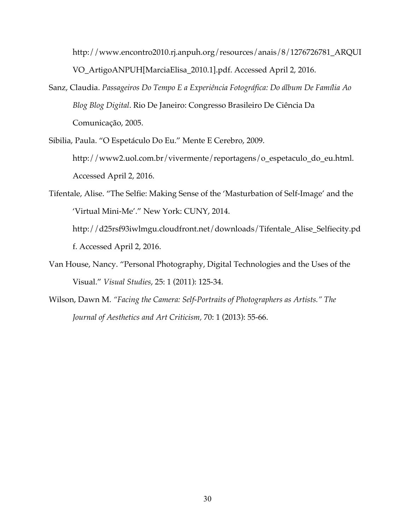http://www.encontro2010.rj.anpuh.org/resources/anais/8/1276726781\_ARQUI VO\_ArtigoANPUH[MarciaElisa\_2010.1].pdf. Accessed April 2, 2016.

- Sanz, Claudia. *Passageiros Do Tempo E a Experiência Fotográfica: Do álbum De Família Ao Blog Blog Digital*. Rio De Janeiro: Congresso Brasileiro De Ciência Da Comunicação, 2005.
- Sibilia, Paula. "O Espetáculo Do Eu." Mente E Cerebro, 2009. http://www2.uol.com.br/vivermente/reportagens/o\_espetaculo\_do\_eu.html. Accessed April 2, 2016.
- Tifentale, Alise. "The Selfie: Making Sense of the 'Masturbation of Self-Image' and the 'Virtual Mini-Me'." New York: CUNY, 2014. http://d25rsf93iwlmgu.cloudfront.net/downloads/Tifentale\_Alise\_Selfiecity.pd f. Accessed April 2, 2016.
- Van House, Nancy. "Personal Photography, Digital Technologies and the Uses of the Visual." *Visual Studies*, 25: 1 (2011): 125-34.
- Wilson, Dawn M. *"Facing the Camera: Self-Portraits of Photographers as Artists." The Journal of Aesthetics and Art Criticism,* 70: 1 (2013): 55-66.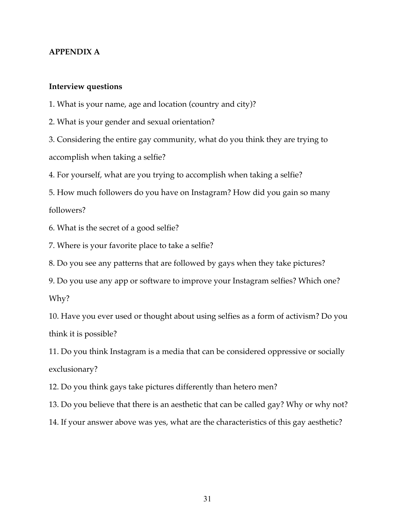# **APPENDIX A**

## **Interview questions**

1. What is your name, age and location (country and city)?

2. What is your gender and sexual orientation?

3. Considering the entire gay community, what do you think they are trying to accomplish when taking a selfie?

4. For yourself, what are you trying to accomplish when taking a selfie?

5. How much followers do you have on Instagram? How did you gain so many followers?

6. What is the secret of a good selfie?

7. Where is your favorite place to take a selfie?

8. Do you see any patterns that are followed by gays when they take pictures?

9. Do you use any app or software to improve your Instagram selfies? Which one? Why?

10. Have you ever used or thought about using selfies as a form of activism? Do you think it is possible?

11. Do you think Instagram is a media that can be considered oppressive or socially exclusionary?

12. Do you think gays take pictures differently than hetero men?

13. Do you believe that there is an aesthetic that can be called gay? Why or why not?

14. If your answer above was yes, what are the characteristics of this gay aesthetic?